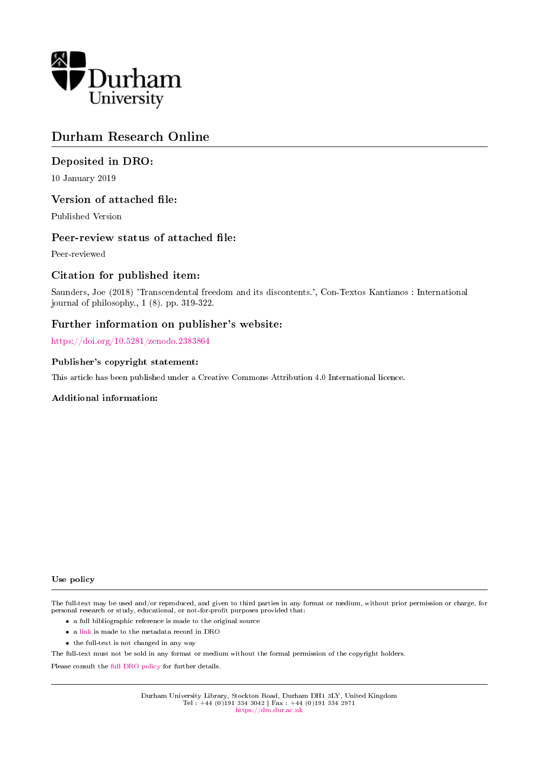

# Durham Research Online

# Deposited in DRO:

10 January 2019

## Version of attached file:

Published Version

## Peer-review status of attached file:

Peer-reviewed

# Citation for published item:

Saunders, Joe (2018) 'Transcendental freedom and its discontents.', Con-Textos Kantianos : International journal of philosophy., 1 (8). pp. 319-322.

## Further information on publisher's website:

<https://doi.org/10.5281/zenodo.2383864>

#### Publisher's copyright statement:

This article has been published under a Creative Commons Attribution 4.0 International licence.

#### Additional information:

#### Use policy

The full-text may be used and/or reproduced, and given to third parties in any format or medium, without prior permission or charge, for personal research or study, educational, or not-for-profit purposes provided that:

- a full bibliographic reference is made to the original source
- a [link](http://dro.dur.ac.uk/27139/) is made to the metadata record in DRO
- the full-text is not changed in any way

The full-text must not be sold in any format or medium without the formal permission of the copyright holders.

Please consult the [full DRO policy](https://dro.dur.ac.uk/policies/usepolicy.pdf) for further details.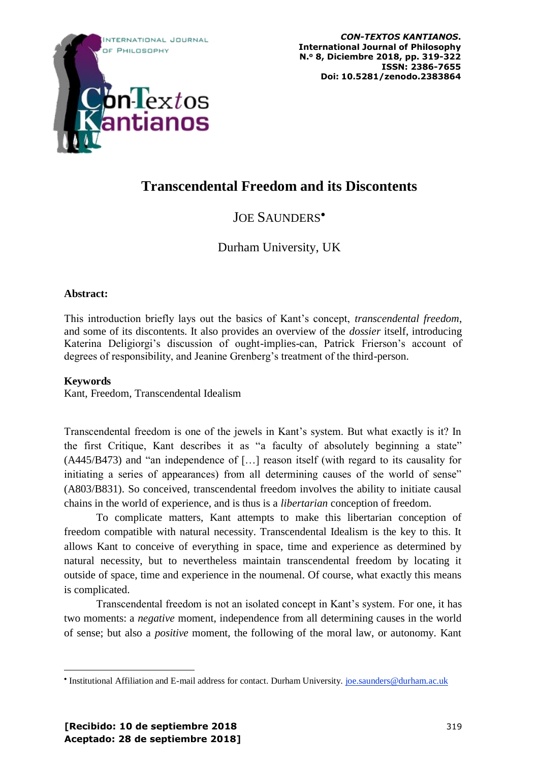

# **Transcendental Freedom and its Discontents**

# JOE SAUNDERS•

Durham University, UK

# **Abstract:**

This introduction briefly lays out the basics of Kant's concept, *transcendental freedom*, and some of its discontents. It also provides an overview of the *dossier* itself, introducing Katerina Deligiorgi's discussion of ought-implies-can, Patrick Frierson's account of degrees of responsibility, and Jeanine Grenberg's treatment of the third-person.

# **Keywords**

 $\overline{a}$ 

Kant, Freedom, Transcendental Idealism

Transcendental freedom is one of the jewels in Kant's system. But what exactly is it? In the first Critique, Kant describes it as "a faculty of absolutely beginning a state" (A445/B473) and "an independence of […] reason itself (with regard to its causality for initiating a series of appearances) from all determining causes of the world of sense" (A803/B831). So conceived, transcendental freedom involves the ability to initiate causal chains in the world of experience, and is thus is a *libertarian* conception of freedom.

To complicate matters, Kant attempts to make this libertarian conception of freedom compatible with natural necessity. Transcendental Idealism is the key to this. It allows Kant to conceive of everything in space, time and experience as determined by natural necessity, but to nevertheless maintain transcendental freedom by locating it outside of space, time and experience in the noumenal. Of course, what exactly this means is complicated.

Transcendental freedom is not an isolated concept in Kant's system. For one, it has two moments: a *negative* moment, independence from all determining causes in the world of sense; but also a *positive* moment, the following of the moral law, or autonomy. Kant

<sup>•</sup> Institutional Affiliation and E-mail address for contact. Durham University. [joe.saunders@durham.ac.uk](mailto:joe.saunders@durham.ac.uk)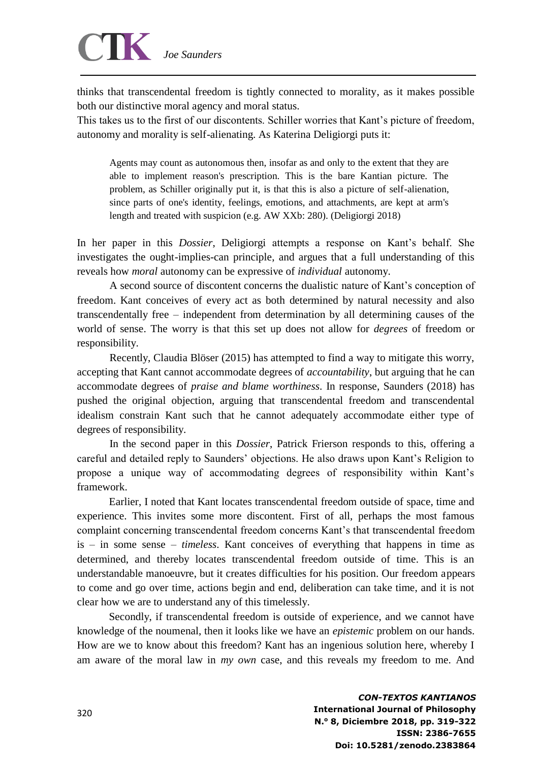# *Joe Saunders*

thinks that transcendental freedom is tightly connected to morality, as it makes possible both our distinctive moral agency and moral status.

This takes us to the first of our discontents. Schiller worries that Kant's picture of freedom, autonomy and morality is self-alienating. As Katerina Deligiorgi puts it:

Agents may count as autonomous then, insofar as and only to the extent that they are able to implement reason's prescription. This is the bare Kantian picture. The problem, as Schiller originally put it, is that this is also a picture of self-alienation, since parts of one's identity, feelings, emotions, and attachments, are kept at arm's length and treated with suspicion (e.g. AW XXb: 280). (Deligiorgi 2018)

In her paper in this *Dossier*, Deligiorgi attempts a response on Kant's behalf. She investigates the ought-implies-can principle, and argues that a full understanding of this reveals how *moral* autonomy can be expressive of *individual* autonomy.

A second source of discontent concerns the dualistic nature of Kant's conception of freedom. Kant conceives of every act as both determined by natural necessity and also transcendentally free – independent from determination by all determining causes of the world of sense. The worry is that this set up does not allow for *degrees* of freedom or responsibility.

Recently, Claudia Blöser (2015) has attempted to find a way to mitigate this worry, accepting that Kant cannot accommodate degrees of *accountability*, but arguing that he can accommodate degrees of *praise and blame worthiness*. In response, Saunders (2018) has pushed the original objection, arguing that transcendental freedom and transcendental idealism constrain Kant such that he cannot adequately accommodate either type of degrees of responsibility.

In the second paper in this *Dossier*, Patrick Frierson responds to this, offering a careful and detailed reply to Saunders' objections. He also draws upon Kant's Religion to propose a unique way of accommodating degrees of responsibility within Kant's framework.

Earlier, I noted that Kant locates transcendental freedom outside of space, time and experience. This invites some more discontent. First of all, perhaps the most famous complaint concerning transcendental freedom concerns Kant's that transcendental freedom is – in some sense – *timeless*. Kant conceives of everything that happens in time as determined, and thereby locates transcendental freedom outside of time. This is an understandable manoeuvre, but it creates difficulties for his position. Our freedom appears to come and go over time, actions begin and end, deliberation can take time, and it is not clear how we are to understand any of this timelessly.

Secondly, if transcendental freedom is outside of experience, and we cannot have knowledge of the noumenal, then it looks like we have an *epistemic* problem on our hands. How are we to know about this freedom? Kant has an ingenious solution here, whereby I am aware of the moral law in *my own* case, and this reveals my freedom to me. And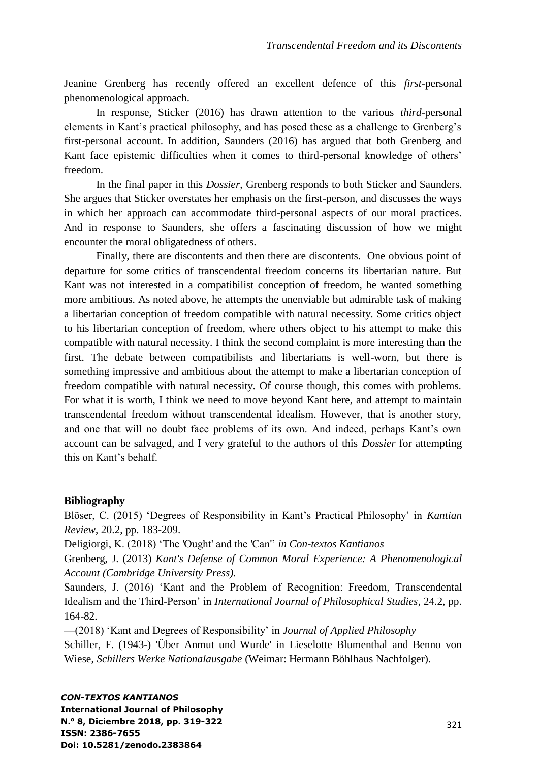Jeanine Grenberg has recently offered an excellent defence of this *first*-personal phenomenological approach.

In response, Sticker (2016) has drawn attention to the various *third*-personal elements in Kant's practical philosophy, and has posed these as a challenge to Grenberg's first-personal account. In addition, Saunders (2016) has argued that both Grenberg and Kant face epistemic difficulties when it comes to third-personal knowledge of others' freedom.

In the final paper in this *Dossier*, Grenberg responds to both Sticker and Saunders. She argues that Sticker overstates her emphasis on the first-person, and discusses the ways in which her approach can accommodate third-personal aspects of our moral practices. And in response to Saunders, she offers a fascinating discussion of how we might encounter the moral obligatedness of others.

Finally, there are discontents and then there are discontents. One obvious point of departure for some critics of transcendental freedom concerns its libertarian nature. But Kant was not interested in a compatibilist conception of freedom, he wanted something more ambitious. As noted above, he attempts the unenviable but admirable task of making a libertarian conception of freedom compatible with natural necessity. Some critics object to his libertarian conception of freedom, where others object to his attempt to make this compatible with natural necessity. I think the second complaint is more interesting than the first. The debate between compatibilists and libertarians is well-worn, but there is something impressive and ambitious about the attempt to make a libertarian conception of freedom compatible with natural necessity. Of course though, this comes with problems. For what it is worth, I think we need to move beyond Kant here, and attempt to maintain transcendental freedom without transcendental idealism. However, that is another story, and one that will no doubt face problems of its own. And indeed, perhaps Kant's own account can be salvaged, and I very grateful to the authors of this *Dossier* for attempting this on Kant's behalf.

# **Bibliography**

Blӧser, C. (2015) 'Degrees of Responsibility in Kant's Practical Philosophy' in *Kantian Review*, 20.2, pp. 183-209.

Deligiorgi, K. (2018) 'The 'Ought' and the 'Can'' *in Con-textos Kantianos*

Grenberg, J. (2013) *Kant's Defense of Common Moral Experience: A Phenomenological Account (Cambridge University Press).*

Saunders, J. (2016) 'Kant and the Problem of Recognition: Freedom, Transcendental Idealism and the Third-Person' in *International Journal of Philosophical Studies*, 24.2, pp. 164-82.

—(2018) 'Kant and Degrees of Responsibility' in *Journal of Applied Philosophy*

Schiller, F. (1943-) 'Über Anmut und Wurde' in Lieselotte Blumenthal and Benno von Wiese, *Schillers Werke Nationalausgabe* (Weimar: Hermann Böhlhaus Nachfolger).